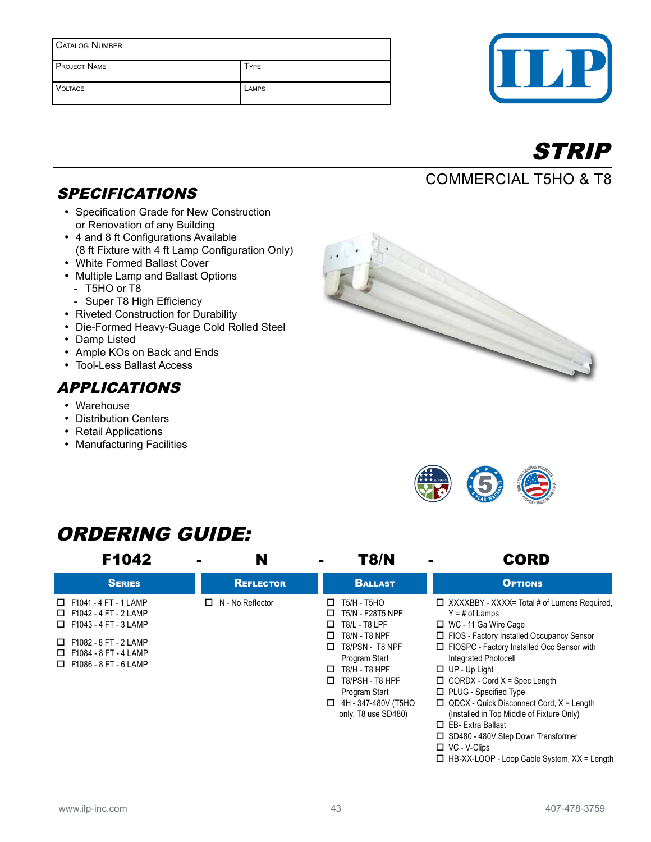| <b>CATALOG NUMBER</b> |             |  |
|-----------------------|-------------|--|
| <b>PROJECT NAME</b>   | <b>TYPE</b> |  |
| <b>VOLTAGE</b>        | LAMPS       |  |





## Commercial T5HO & T8

## **SPECIFICATIONS**

- Specification Grade for New Construction or Renovation of any Building
- 4 and 8 ft Configurations Available (8 ft Fixture with 4 ft Lamp Configuration Only)
- White Formed Ballast Cover
- Multiple Lamp and Ballast Options
	- T5HO or T8
	- Super T8 High Efficiency
- Riveted Construction for Durability
- Die-Formed Heavy-Guage Cold Rolled Steel
- Damp Listed
- Ample KOs on Back and Ends
- Tool-Less Ballast Access

#### APPLICATIONS

- Warehouse
- Distribution Centers
- Retail Applications
- Manufacturing Facilities





## ORDERING GUIDE:

| F1042                                                                                                                                                                                        | N                       | T8/N                                                                                                                                                                                                                                                     | <b>CORD</b>                                                                                                                                                                                                                                                                                                                                                                                                                                    |
|----------------------------------------------------------------------------------------------------------------------------------------------------------------------------------------------|-------------------------|----------------------------------------------------------------------------------------------------------------------------------------------------------------------------------------------------------------------------------------------------------|------------------------------------------------------------------------------------------------------------------------------------------------------------------------------------------------------------------------------------------------------------------------------------------------------------------------------------------------------------------------------------------------------------------------------------------------|
| <b>SERIES</b>                                                                                                                                                                                | <b>REFLECTOR</b>        | <b>BALLAST</b>                                                                                                                                                                                                                                           | <b>OPTIONS</b>                                                                                                                                                                                                                                                                                                                                                                                                                                 |
| $\Box$ F1041 - 4 FT - 1 LAMP<br>$\Box$ F1042 - 4 FT - 2 LAMP<br>$\Box$ F1043 - 4 FT - 3 LAMP<br>$\Box$ F1082 - 8 FT - 2 LAMP<br>$\Box$ F1084 - 8 FT - 4 LAMP<br>$\Box$ F1086 - 8 FT - 6 LAMP | $\Box$ N - No Reflector | T5/H - T5HO<br>□<br>T5/N - F28T5 NPF<br>□<br>T8/L - T8 LPF<br>□<br><b>T8/N - T8 NPF</b><br>□<br>T8/PSN - T8 NPF<br>П.<br>Program Start<br>T8/H - T8 HPF<br>□<br>T8/PSH - T8 HPF<br>□<br>Program Start<br>4H - 347-480V (T5HO<br>□<br>only, T8 use SD480) | $\Box$ XXXXBBY - XXXX= Total # of Lumens Required.<br>$Y = #$ of Lamps<br>□ WC - 11 Ga Wire Cage<br>□ FIOS - Factory Installed Occupancy Sensor<br>□ FIOSPC - Factory Installed Occ Sensor with<br>Integrated Photocell<br>$\Box$ UP - Up Light<br>$\Box$ CORDX - Cord X = Spec Length<br>□ PLUG - Specified Type<br>$\Box$ QDCX - Quick Disconnect Cord, $X =$ Length<br>(Installed in Top Middle of Fixture Only)<br>$\Box$ EB-Extra Ballast |

- □ SD480 480V Step Down Transformer
- VC V-Clips
	- □ HB-XX-LOOP Loop Cable System, XX = Length